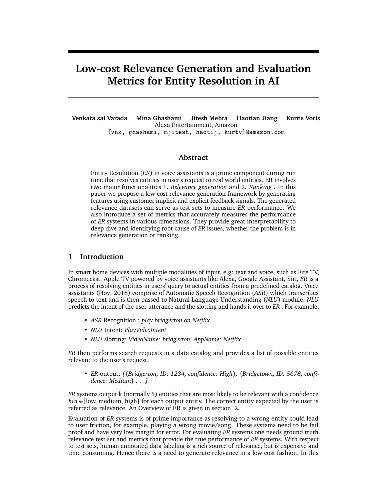# **Low-cost Relevance Generation and Evaluation Metrics for Entity Resolution in AI**

**Venkata sai Varada Mina Ghashami Jitesh Mehta Haotian Jiang Kurtis Voris** Alexa Entertainment, Amazon {vnk, ghashami, mjitesh, haotij, kurtv}@amazon.com

### **Abstract**

Entity Resolution (*ER*) in voice assistants is a prime component during run time that resolves entities in user's request to real world entities. ER involves two major functionalities 1. *Relevance generation* and 2. *Ranking* . In this paper we propose a low cost relevance generation framework by generating features using customer implicit and explicit feedback signals. The generated relevance datasets can serve as test sets to measure *ER* performance. We also introduce a set of metrics that accurately measures the performance of *ER* systems in various dimensions. They provide great interpretability to deep dive and identifying root cause of *ER* issues, whether the problem is in relevance generation or ranking.

# **1 Introduction**

In smart home devices with multiple modalities of input, e.g: text and voice, such as Fire TV, Chromecast, Apple TV powered by voice assistants like Alexa, Google Assistant, Siri, *ER* is a process of resolving entities in users' query to actual entities from a predefined catalog. Voice assistants (Hoy, 2018) comprise of Automatic Speech Recognition (*ASR*) which transcribes speech to text and is then passed to Natural Language Understanding (*NLU*) module. *NLU* predicts the intent of the user utterance and the slotting and hands it over to *ER* . For example:

- *ASR* Recognition : *play bridgerton on Netflix*
- *NLU* Intent: *PlayVideoIntent*
- *NLU* slotting: *VideoName: bridgerton, AppName: Netflix*

*ER* then performs search requests in a data catalog and provides a list of possible entities relevant to the user's request.

• *ER* output: *[{Bridgerton, ID: 1234, confidence: High}, {Bridgetown, ID: 5678, confidence: Medium} . . .]*

*ER* systems output k (normally 5) entities that are most likely to be relevant with a confidence *bin* ∈[low, medium, high] for each output entity. The correct entity expected by the user is referred as relevance. An Overview of ER is given in section 2.

Evaluation of *ER* systems is of prime importance as resolving to a wrong entity could lead to user friction, for example, playing a wrong movie/song. These systems need to be fail proof and have very low margin for error. For evaluating *ER* systems one needs ground truth relevance test set and metrics that provide the true performance of *ER* systems. With respect to test sets, human annotated data labeling is a rich source of relevance, but is expensive and time consuming. Hence there is a need to generate relevance in a low cost fashion. In this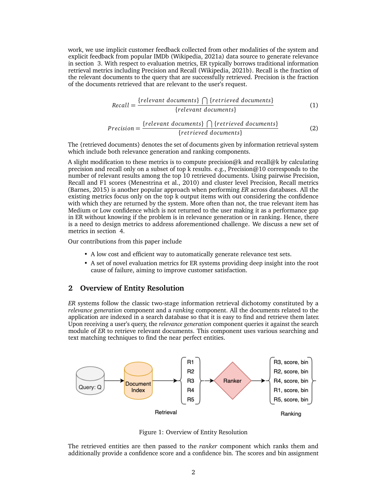work, we use implicit customer feedback collected from other modalities of the system and explicit feedback from popular IMDb (Wikipedia, 2021a) data source to generate relevance in section 3. With respect to evaluation metrics, ER typically borrows traditional information retrieval metrics including Precision and Recall (Wikipedia, 2021b). Recall is the fraction of the relevant documents to the query that are successfully retrieved. Precision is the fraction of the documents retrieved that are relevant to the user's request.

$$
Recall = \frac{\{relevant \ documents\} \cap \{retrieved \ documents\}}{\{relevant \ documents\}}
$$
(1)

$$
Precision = \frac{\{relevant \ documents\} \bigcap \{retrieved \ documents\}}{\{retrieved \ documents\}}
$$
(2)

The {retrieved documents} denotes the set of documents given by information retrieval system which include both relevance generation and ranking components.

A slight modification to these metrics is to compute precision@k and recall@k by calculating precision and recall only on a subset of top k results. e.g., Precision@10 corresponds to the number of relevant results among the top 10 retrieved documents. Using pairwise Precision, Recall and F1 scores (Menestrina et al., 2010) and cluster level Precision, Recall metrics (Barnes, 2015) is another popular approach when performing *ER* across databases. All the existing metrics focus only on the top k output items with out considering the confidence with which they are returned by the system. More often than not, the true relevant item has Medium or Low confidence which is not returned to the user making it as a performance gap in ER without knowing if the problem is in relevance generation or in ranking. Hence, there is a need to design metrics to address aforementioned challenge. We discuss a new set of metrics in section 4.

Our contributions from this paper include

- A low cost and efficient way to automatically generate relevance test sets.
- A set of novel evaluation metrics for ER systems providing deep insight into the root cause of failure, aiming to improve customer satisfaction.

# **2 Overview of Entity Resolution**

*ER* systems follow the classic two-stage information retrieval dichotomy constituted by a *relevance generation* component and a *ranking* component. All the documents related to the application are indexed in a search database so that it is easy to find and retrieve them later. Upon receiving a user's query, the *relevance generation* component queries it against the search module of *ER* to retrieve relevant documents. This component uses various searching and text matching techniques to find the near perfect entities.



Figure 1: Overview of Entity Resolution

The retrieved entities are then passed to the *ranker* component which ranks them and additionally provide a confidence score and a confidence bin. The scores and bin assignment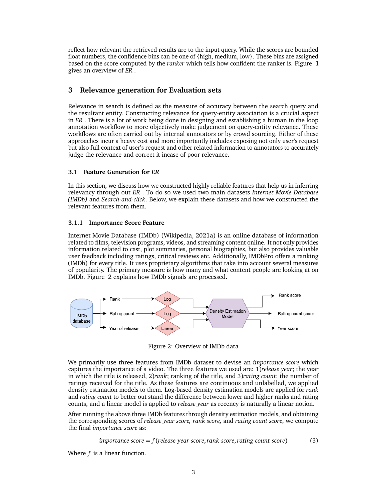reflect how relevant the retrieved results are to the input query. While the scores are bounded float numbers, the confidence bins can be one of {high, medium, low}. These bins are assigned based on the score computed by the *ranker* which tells how confident the ranker is. Figure 1 gives an overview of *ER* .

# **3 Relevance generation for Evaluation sets**

Relevance in search is defined as the measure of accuracy between the search query and the resultant entity. Constructing relevance for query-entity association is a crucial aspect in *ER* . There is a lot of work being done in designing and establishing a human in the loop annotation workflow to more objectively make judgement on query-entity relevance. These workflows are often carried out by internal annotators or by crowd sourcing. Either of these approaches incur a heavy cost and more importantly includes exposing not only user's request but also full context of user's request and other related information to annotators to accurately judge the relevance and correct it incase of poor relevance.

# **3.1 Feature Generation for** *ER*

In this section, we discuss how we constructed highly reliable features that help us in inferring relevancy through out *ER* . To do so we used two main datasets *Internet Movie Database (IMDb)* and *Search-and-click*. Below, we explain these datasets and how we constructed the relevant features from them.

# **3.1.1 Importance Score Feature**

Internet Movie Database (IMDb) (Wikipedia, 2021a) is an online database of information related to films, television programs, videos, and streaming content online. It not only provides information related to cast, plot summaries, personal biographies, but also provides valuable user feedback including ratings, critical reviews etc. Additionally, IMDbPro offers a ranking (IMDb) for every title. It uses proprietary algorithms that take into account several measures of popularity. The primary measure is how many and what content people are looking at on IMDb. Figure 2 explains how IMDb signals are processed.



Figure 2: Overview of IMDb data

We primarily use three features from IMDb dataset to devise an *importance score* which captures the importance of a video. The three features we used are: 1)*release year*; the year in which the title is released, 2)*rank*; ranking of the title, and 3)*rating count*; the number of ratings received for the title. As these features are continuous and unlabelled, we applied density estimation models to them. Log-based density estimation models are applied for *rank* and *rating count* to better out stand the difference between lower and higher ranks and rating counts, and a linear model is applied to *release year* as recency is naturally a linear notion.

After running the above three IMDb features through density estimation models, and obtaining the corresponding scores of *release year score, rank score,* and *rating count score*, we compute the final *importance score* as:

$$
importance score = f(release-year-score, rank-score, rating-count-score)
$$
\n(3)

Where *f* is a linear function.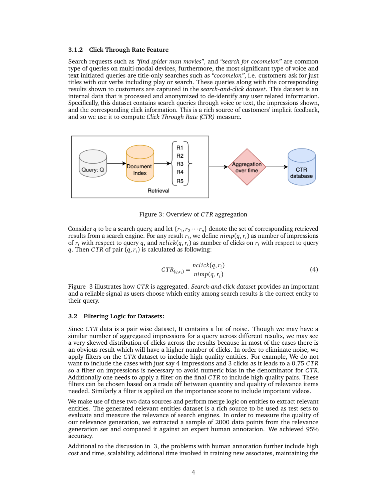#### **3.1.2 Click Through Rate Feature**

Search requests such as *"find spider man movies"*, and *"search for cocomelon"* are common type of queries on multi-modal devices, furthermore, the most significant type of voice and text initiated queries are title-only searches such as *"cocomelon"*, i.e. customers ask for just titles with out verbs including play or search. These queries along with the corresponding results shown to customers are captured in the *search-and-click dataset*. This dataset is an internal data that is processed and anonymized to de-identify any user related information. Specifically, this dataset contains search queries through voice or text, the impressions shown, and the corresponding click information. This is a rich source of customers' implicit feedback, and so we use it to compute *Click Through Rate (CTR)* measure.



Figure 3: Overview of *C TR* aggregation

Consider *q* to be a search query, and let  $\{r_1, r_2 \cdots r_n\}$  denote the set of corresponding retrieved results from a search engine. For any result *r<sup>i</sup>* , we define *nimp*(*q*,*r<sup>i</sup>* ) as number of impressions of *r<sup>i</sup>* with respect to query *q*, and *nclick*(*q*,*r<sup>i</sup>* ) as number of clicks on *r<sup>i</sup>* with respect to query *q*. Then *C TR* of pair (*q*,*r<sup>i</sup>* ) is calculated as following:

$$
CTR_{(q,r_i)} = \frac{nclick(q,r_i)}{nimp(q,r_i)}
$$
(4)

Figure 3 illustrates how *C TR* is aggregated. *Search-and-click dataset* provides an important and a reliable signal as users choose which entity among search results is the correct entity to their query.

#### **3.2 Filtering Logic for Datasets:**

Since *C TR* data is a pair wise dataset, It contains a lot of noise. Though we may have a similar number of aggregated impressions for a query across different results, we may see a very skewed distribution of clicks across the results because in most of the cases there is an obvious result which will have a higher number of clicks. In order to eliminate noise, we apply filters on the *C TR* dataset to include high quality entities. For example, We do not want to include the cases with just say 4 impressions and 3 clicks as it leads to a 0.75 *C TR* so a filter on impressions is necessary to avoid numeric bias in the denominator for *C TR*. Additionally one needs to apply a filter on the final *C TR* to include high quality pairs. These filters can be chosen based on a trade off between quantity and quality of relevance items needed. Similarly a filter is applied on the importance score to include important videos.

We make use of these two data sources and perform merge logic on entities to extract relevant entities. The generated relevant entities dataset is a rich source to be used as test sets to evaluate and measure the relevance of search engines. In order to measure the quality of our relevance generation, we extracted a sample of 2000 data points from the relevance generation set and compared it against an expert human annotation. We achieved 95% accuracy.

Additional to the discussion in 3, the problems with human annotation further include high cost and time, scalability, additional time involved in training new associates, maintaining the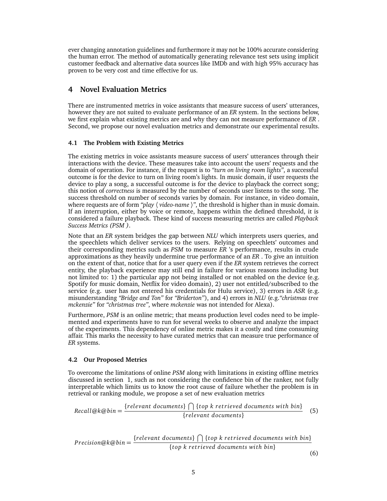ever changing annotation guidelines and furthermore it may not be 100% accurate considering the human error. The method of automatically generating relevance test sets using implicit customer feedback and alternative data sources like IMDb and with high 95% accuracy has proven to be very cost and time effective for us.

# **4 Novel Evaluation Metrics**

There are instrumented metrics in voice assistants that measure success of users' utterances, however they are not suited to evaluate performance of an *ER* system. In the sections below, we first explain what existing metrics are and why they can not measure performance of *ER* . Second, we propose our novel evaluation metrics and demonstrate our experimental results.

# **4.1 The Problem with Existing Metrics**

The existing metrics in voice assistants measure success of users' utterances through their interactions with the device. These measures take into account the users' requests and the domain of operation. For instance, if the request is to *"turn on living room lights"*, a successful outcome is for the device to turn on living room's lights. In music domain, if user requests the device to play a song, a successful outcome is for the device to playback the correct song; this notion of *correctness* is measured by the number of seconds user listens to the song. The success threshold on number of seconds varies by domain. For instance, in video domain, where requests are of form "*play*  $\langle$  *video-name*  $\rangle$ ", the threshold is higher than in music domain. If an interruption, either by voice or remote, happens within the defined threshold, it is considered a failure playback. These kind of success measuring metrics are called *Playback Success Metrics (PSM )*.

Note that an *ER* system bridges the gap between *NLU* which interprets users queries, and the speechlets which deliver services to the users. Relying on speechlets' outcomes and their corresponding metrics such as *PSM* to measure *ER* 's performance, results in crude approximations as they heavily undermine true performance of an *ER* . To give an intuition on the extent of that, notice that for a user query even if the *ER* system retrieves the correct entity, the playback experience may still end in failure for various reasons including but not limited to: 1) the particular app not being installed or not enabled on the device (e.g. Spotify for music domain, Netflix for video domain), 2) user not entitled/subscribed to the service (e.g. user has not entered his credentials for Hulu service), 3) errors in *ASR* (e.g. misunderstanding *"Bridge and Ton"* for *"Briderton"*), and 4) errors in *NLU* (e.g.*"christmas tree mckenzie"* for *"christmas tree"*, where *mckenzie* was not intended for Alexa).

Furthermore, *PSM* is an online metric; that means production level codes need to be implemented and experiments have to run for several weeks to observe and analyze the impact of the experiments. This dependency of online metric makes it a costly and time consuming affair. This marks the necessity to have curated metrics that can measure true performance of *ER* systems.

# **4.2 Our Proposed Metrics**

To overcome the limitations of online *PSM* along with limitations in existing offline metrics discussed in section 1, such as not considering the confidence bin of the ranker, not fully interpretable which limits us to know the root cause of failure whether the problem is in retrieval or ranking module, we propose a set of new evaluation metrics

Recall@k@bin = 
$$
\frac{\{relevant\ documents\}}{\{relevant\ documents\}}
$$
 (5)

$$
Precision@k@bin = \frac{\{relevant\ documents\} \cap \{top\ k\ retrieved\ documents\ with\ bin\}}{\{top\ k\ retrieved\ documents\ with\ bin\}}
$$
(6)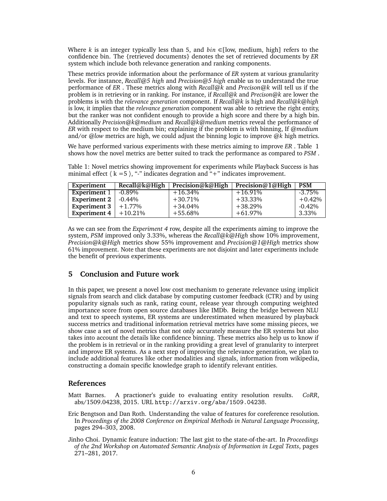Where *k* is an integer typically less than 5, and  $\overline{bin}$  ∈[low, medium, high] refers to the confidence bin. The {retrieved documents} denotes the set of retrieved documents by *ER* system which include both relevance generation and ranking components.

These metrics provide information about the performance of *ER* system at various granularity levels. For instance, *Recall@5 high* and *Precision@5 high* enable us to understand the true performance of *ER* . These metrics along with *Recall@k* and *Precison@k* will tell us if the problem is in retrieving or in ranking. For instance, if *Recall@k* and *Precison@k* are lower the problems is with the *relevance generation* component. If *Recall@k* is high and *Recall@k@high* is low, it implies that the *relevance generation* component was able to retrieve the right entity, but the ranker was not confident enough to provide a high score and there by a high bin. Additionally *Precision@k@medium* and *Recall@k@medium* metrics reveal the performance of *ER* with respect to the medium bin; explaining if the problem is with binning, If *@medium* and/or *@low* metrics are high, we could adjust the binning logic to improve @*k* high metrics.

We have performed various experiments with these metrics aiming to improve *ER* . Table 1 shows how the novel metrics are better suited to track the performance as compared to *PSM* .

Table 1: Novel metrics showing improvement for experiments while Playback Success is has minimal effect  $\langle k = 5 \rangle$ , "-" indicates degration and "+" indicates improvement.

| Experiment          | Recall@k@High | Precision@k@High | Precision@1@High | <b>PSM</b> |
|---------------------|---------------|------------------|------------------|------------|
| <b>Experiment 1</b> | $-0.89\%$     | $+16.34%$        | $+16.91%$        | $-3.75\%$  |
| <b>Experiment 2</b> | $-0.44\%$     | $+30.71%$        | $+33.33\%$       | $+0.42%$   |
| <b>Experiment 3</b> | $+1.77\%$     | $+34.04%$        | $+38.29%$        | $-0.42%$   |
| <b>Experiment 4</b> | $+10.21\%$    | $+55.68%$        | $+61.97%$        | 3.33%      |

As we can see from the *Experiment 4* row, despite all the experiments aiming to improve the system, *PSM* improved only 3.33%, whereas the *Recall@k@High* show 10% improvement, *Precision@k@High* metrics show 55% improvement and *Precision@1@High* metrics show 61% improvement. Note that these experiments are not disjoint and later experiments include the benefit of previous experiments.

# **5 Conclusion and Future work**

In this paper, we present a novel low cost mechanism to generate relevance using implicit signals from search and click database by computing customer feedback (CTR) and by using popularity signals such as rank, rating count, release year through computing weighted importance score from open source databases like IMDb. Being the bridge between NLU and text to speech systems, ER systems are underestimated when measured by playback success metrics and traditional information retrieval metrics have some missing pieces, we show case a set of novel metrics that not only accurately measure the ER systems but also takes into account the details like confidence binning. These metrics also help us to know if the problem is in retrieval or in the ranking providing a great level of granularity to interpret and improve ER systems. As a next step of improving the relevance generation, we plan to include additional features like other modalities and signals, information from wikipedia, constructing a domain specific knowledge graph to identify relevant entities.

### **References**

- Matt Barnes. A practioner's guide to evaluating entity resolution results. *CoRR*, abs/1509.04238, 2015. URL http://arxiv.org/abs/1509.04238.
- Eric Bengtson and Dan Roth. Understanding the value of features for coreference resolution. In *Proceedings of the 2008 Conference on Empirical Methods in Natural Language Processing*, pages 294–303, 2008.
- Jinho Choi. Dynamic feature induction: The last gist to the state-of-the-art. In *Proceedings of the 2nd Workshop on Automated Semantic Analysis of Information in Legal Texts*, pages 271–281, 2017.